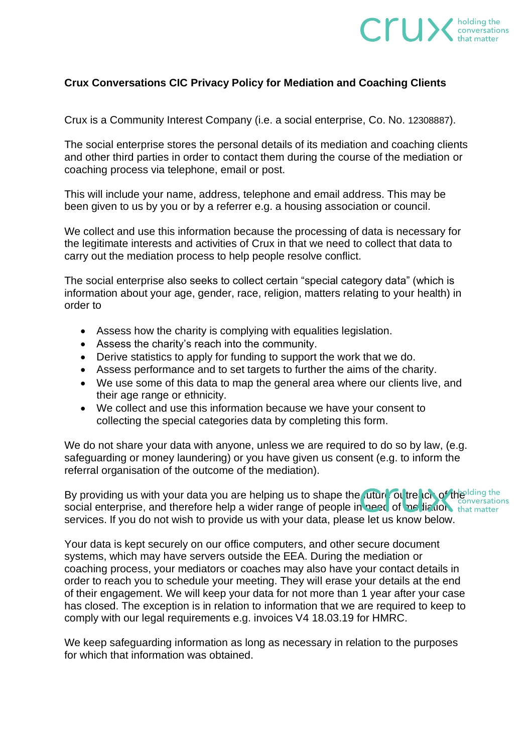

## **Crux Conversations CIC Privacy Policy for Mediation and Coaching Clients**

Crux is a Community Interest Company (i.e. a social enterprise, Co. No. 12308887).

The social enterprise stores the personal details of its mediation and coaching clients and other third parties in order to contact them during the course of the mediation or coaching process via telephone, email or post.

This will include your name, address, telephone and email address. This may be been given to us by you or by a referrer e.g. a housing association or council.

We collect and use this information because the processing of data is necessary for the legitimate interests and activities of Crux in that we need to collect that data to carry out the mediation process to help people resolve conflict.

The social enterprise also seeks to collect certain "special category data" (which is information about your age, gender, race, religion, matters relating to your health) in order to

- Assess how the charity is complying with equalities legislation.
- Assess the charity's reach into the community.
- Derive statistics to apply for funding to support the work that we do.
- Assess performance and to set targets to further the aims of the charity.
- We use some of this data to map the general area where our clients live, and their age range or ethnicity.
- We collect and use this information because we have your consent to collecting the special categories data by completing this form.

We do not share your data with anyone, unless we are required to do so by law, (e.g. safeguarding or money laundering) or you have given us consent (e.g. to inform the referral organisation of the outcome of the mediation).

By providing us with your data you are helping us to shape the *future* of the long of the long resations social enterprise, and therefore help a wider range of people in need of me liation, that matter services. If you do not wish to provide us with your data, please let us know below.

Your data is kept securely on our office computers, and other secure document systems, which may have servers outside the EEA. During the mediation or coaching process, your mediators or coaches may also have your contact details in order to reach you to schedule your meeting. They will erase your details at the end of their engagement. We will keep your data for not more than 1 year after your case has closed. The exception is in relation to information that we are required to keep to comply with our legal requirements e.g. invoices V4 18.03.19 for HMRC.

We keep safeguarding information as long as necessary in relation to the purposes for which that information was obtained.